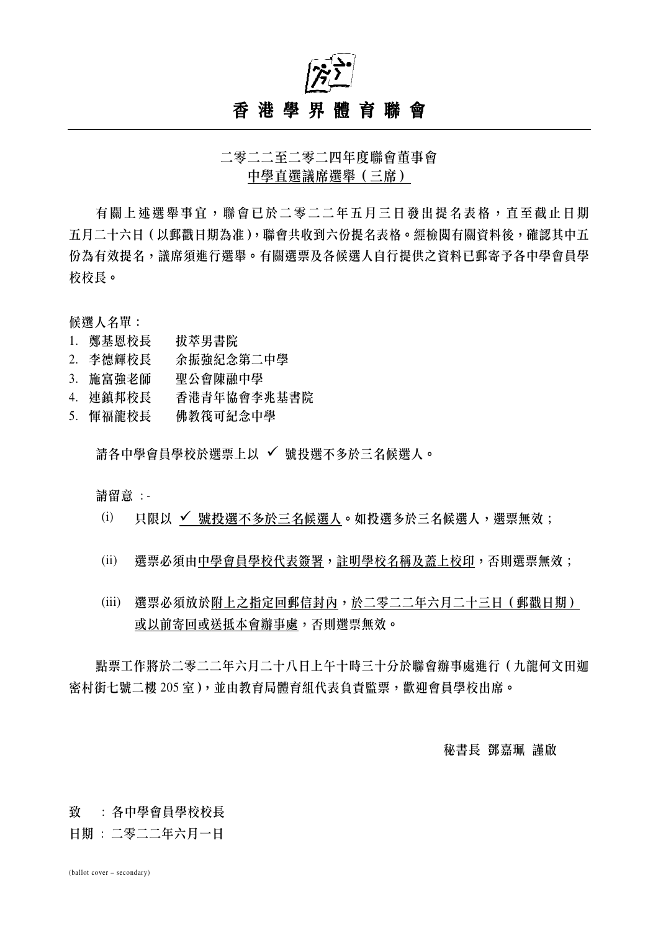

二零二二至二零二四年度聯會董事會 中學直選議席選舉(三席)

有關上述選舉事宜,聯會已於二零二二年五月三日發出提名表格,直至截止日期 五月二十六日(以郵戳日期為准),聯會共收到六份提名表格。經檢閱有關資料後,確認其中五 份為有效提名,議席須進行選舉。有關選票及各候選人自行提供之資料已郵寄予各中學會員學 校校長。

候選人名單:

- 1. 鄭基恩校長 拔萃男書院
- 2. 李德輝校長 余振強紀念第二中學
- 3. 施富強老師 聖公會陳融中學
- 4. 連鎮邦校長 香港青年協會李兆基書院
- 5. 惲福龍校長 佛教筏可紀念中學

請各中學會員學校於選票上以 √ 號投選不多於三名候選人。

請留意 : -

- (i) 只限以 √ 號投選不多於三名候選人。如投選多於三名候選人,選票無效;
- (ii) 選票必須由中學會員學校代表簽署,註明學校名稱及蓋上校印,否則選票無效;
- (iii) 選票必須放於附上之指定回郵信封內,於二零二二年六月二十三日(郵戳日期) 或以前寄回或送抵本會辦事處,否則選票無效。

點票工作將於二零二二年六月二十八日上午十時三十分於聯會辦事處進行(九龍何文田迦 密村街七號二樓 205 室),並由教育局體育組代表負責監票,歡迎會員學校出席。

## 秘書長 鄧嘉珮 謹啟

## 致 : 各中學會員學校校長

日期 : 二零二二年六月一日